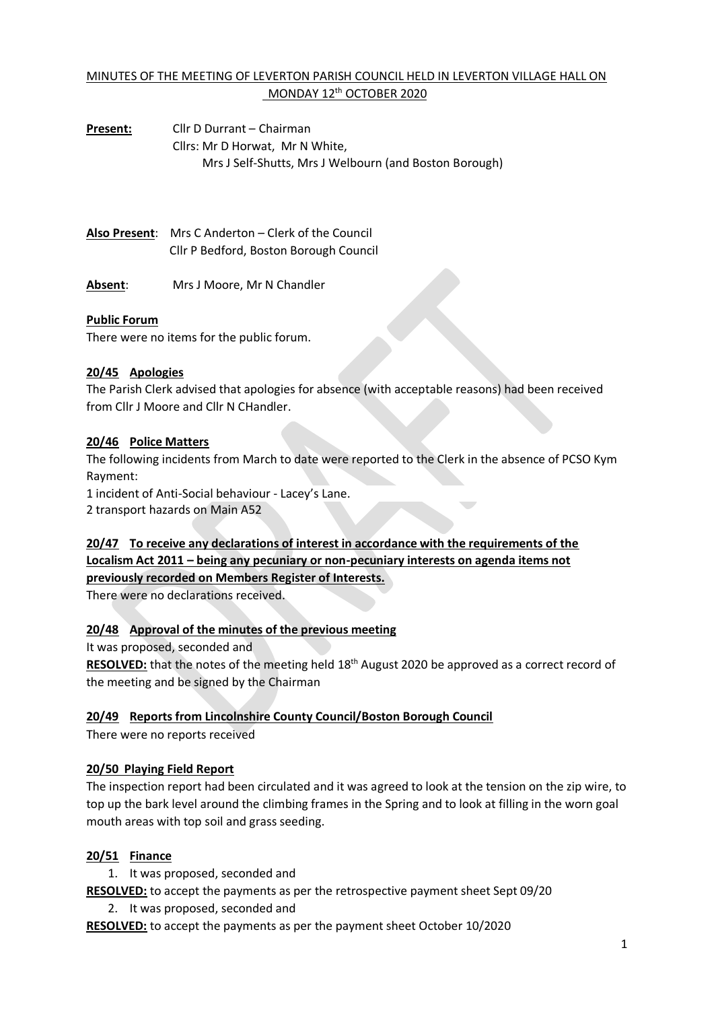## MINUTES OF THE MEETING OF LEVERTON PARISH COUNCIL HELD IN LEVERTON VILLAGE HALL ON MONDAY 12<sup>th</sup> OCTOBER 2020

**Present:** Cllr D Durrant – Chairman Cllrs: Mr D Horwat, Mr N White, Mrs J Self-Shutts, Mrs J Welbourn (and Boston Borough)

**Also Present**: Mrs C Anderton – Clerk of the Council Cllr P Bedford, Boston Borough Council

**Absent**: Mrs J Moore, Mr N Chandler

### **Public Forum**

There were no items for the public forum.

### **20/45 Apologies**

The Parish Clerk advised that apologies for absence (with acceptable reasons) had been received from Cllr J Moore and Cllr N CHandler.

### **20/46 Police Matters**

The following incidents from March to date were reported to the Clerk in the absence of PCSO Kym Rayment:

1 incident of Anti-Social behaviour - Lacey's Lane. 2 transport hazards on Main A52

## **20/47 To receive any declarations of interest in accordance with the requirements of the Localism Act 2011 – being any pecuniary or non-pecuniary interests on agenda items not previously recorded on Members Register of Interests.**

There were no declarations received.

## **20/48 Approval of the minutes of the previous meeting**

It was proposed, seconded and

**RESOLVED:** that the notes of the meeting held 18th August 2020 be approved as a correct record of the meeting and be signed by the Chairman

#### **20/49 Reports from Lincolnshire County Council/Boston Borough Council**

There were no reports received

## **20/50 Playing Field Report**

The inspection report had been circulated and it was agreed to look at the tension on the zip wire, to top up the bark level around the climbing frames in the Spring and to look at filling in the worn goal mouth areas with top soil and grass seeding.

## **20/51 Finance**

1. It was proposed, seconded and

**RESOLVED:** to accept the payments as per the retrospective payment sheet Sept 09/20

2. It was proposed, seconded and

**RESOLVED:** to accept the payments as per the payment sheet October 10/2020